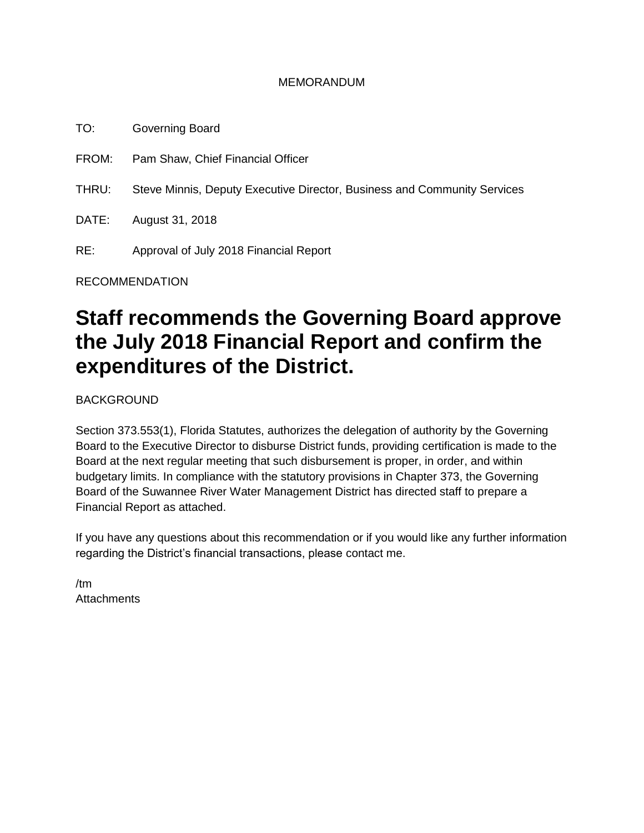### MEMORANDUM

TO: Governing Board

FROM: Pam Shaw, Chief Financial Officer

THRU: Steve Minnis, Deputy Executive Director, Business and Community Services

DATE: August 31, 2018

RE: Approval of July 2018 Financial Report

RECOMMENDATION

## **Staff recommends the Governing Board approve the July 2018 Financial Report and confirm the expenditures of the District.**

BACKGROUND

Section 373.553(1), Florida Statutes, authorizes the delegation of authority by the Governing Board to the Executive Director to disburse District funds, providing certification is made to the Board at the next regular meeting that such disbursement is proper, in order, and within budgetary limits. In compliance with the statutory provisions in Chapter 373, the Governing Board of the Suwannee River Water Management District has directed staff to prepare a Financial Report as attached.

If you have any questions about this recommendation or if you would like any further information regarding the District's financial transactions, please contact me.

/tm **Attachments**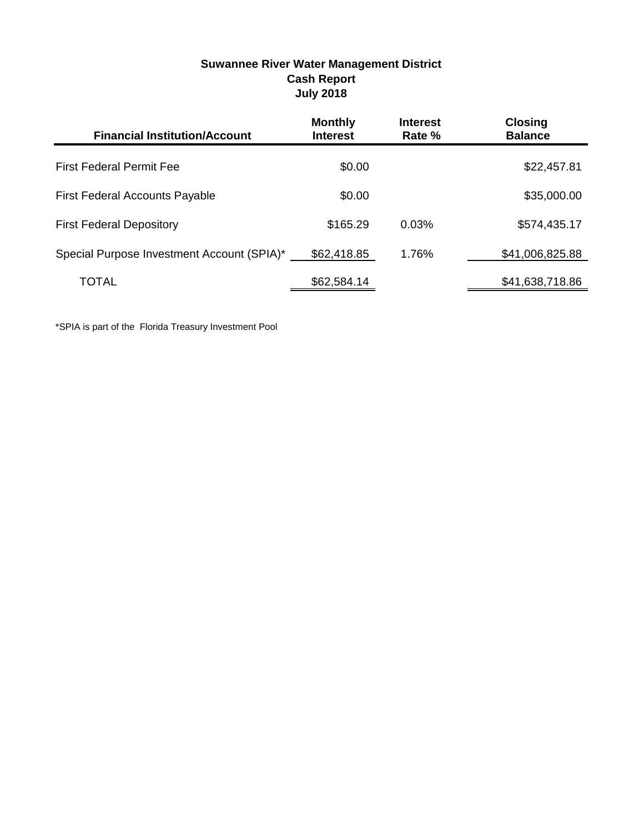|                                            | JUIY ZUIO                         |                           |                                  |
|--------------------------------------------|-----------------------------------|---------------------------|----------------------------------|
| <b>Financial Institution/Account</b>       | <b>Monthly</b><br><b>Interest</b> | <b>Interest</b><br>Rate % | <b>Closing</b><br><b>Balance</b> |
| <b>First Federal Permit Fee</b>            | \$0.00                            |                           | \$22,457.81                      |
| <b>First Federal Accounts Payable</b>      | \$0.00                            |                           | \$35,000.00                      |
| <b>First Federal Depository</b>            | \$165.29                          | 0.03%                     | \$574,435.17                     |
| Special Purpose Investment Account (SPIA)* | \$62,418.85                       | 1.76%                     | \$41,006,825.88                  |
| TOTAL                                      | \$62,584.14                       |                           | \$41,638,718.86                  |

### **Suwannee River Water Management District Cash Report July 2018**

\*SPIA is part of the Florida Treasury Investment Pool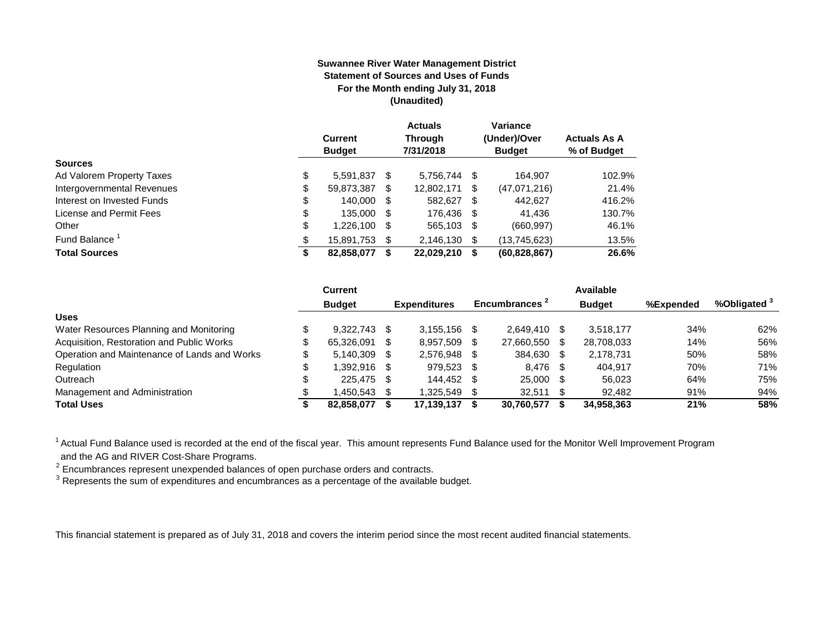#### **Suwannee River Water Management District Statement of Sources and Uses of Funds For the Month ending July 31, 2018 (Unaudited)**

|                            | <b>Current</b><br><b>Budget</b> |     | <b>Actuals</b><br><b>Through</b><br>7/31/2018 |      | Variance<br>(Under)/Over<br><b>Budget</b> | <b>Actuals As A</b><br>% of Budget |
|----------------------------|---------------------------------|-----|-----------------------------------------------|------|-------------------------------------------|------------------------------------|
| <b>Sources</b>             |                                 |     |                                               |      |                                           |                                    |
| Ad Valorem Property Taxes  | \$<br>5,591,837                 | S.  | 5.756.744 \$                                  |      | 164.907                                   | 102.9%                             |
| Intergovernmental Revenues | \$<br>59,873,387                | S   | 12,802,171                                    | S    | (47.071.216)                              | 21.4%                              |
| Interest on Invested Funds | \$<br>140,000 \$                |     | 582,627                                       | - \$ | 442.627                                   | 416.2%                             |
| License and Permit Fees    | \$<br>135,000 \$                |     | 176.436 \$                                    |      | 41.436                                    | 130.7%                             |
| Other                      | \$<br>1,226,100                 | \$. | 565,103 \$                                    |      | (660, 997)                                | 46.1%                              |
| Fund Balance               | \$<br>15,891,753                | S   | 2,146,130 \$                                  |      | (13,745,623)                              | 13.5%                              |
| <b>Total Sources</b>       | \$<br>82,858,077                |     | 22,029,210                                    | S    | (60, 828, 867)                            | 26.6%                              |

|                                              | Current       |      |                     |      |                |      | Available     |           |                         |
|----------------------------------------------|---------------|------|---------------------|------|----------------|------|---------------|-----------|-------------------------|
|                                              | <b>Budget</b> |      | <b>Expenditures</b> |      | Encumbrances - |      | <b>Budget</b> | %Expended | %Obligated <sup>3</sup> |
| <b>Uses</b>                                  |               |      |                     |      |                |      |               |           |                         |
| Water Resources Planning and Monitoring      | 9.322.743     | - \$ | 3.155.156           |      | 2.649.410 \$   |      | 3.518.177     | 34%       | 62%                     |
| Acquisition, Restoration and Public Works    | 65.326.091    | -SS  | 8.957.509           |      | 27.660.550     |      | 28,708,033    | 14%       | 56%                     |
| Operation and Maintenance of Lands and Works | 5.140.309     | - \$ | 2.576.948           |      | 384.630        | - \$ | 2.178.731     | 50%       | 58%                     |
| Regulation                                   | 1.392.916 \$  |      | 979,523             | - \$ | 8,476 \$       |      | 404.917       | 70%       | 71%                     |
| Outreach                                     | 225,475 \$    |      | 144.452             |      | 25,000         | - \$ | 56,023        | 64%       | 75%                     |
| Management and Administration                | .450.543      | - \$ | 1.325.549           |      | $32,511$ \$    |      | 92.482        | 91%       | 94%                     |
| <b>Total Uses</b>                            | 82,858,077    |      | 17,139,137          |      | 30,760,577     |      | 34.958.363    | 21%       | 58%                     |

<sup>1</sup> Actual Fund Balance used is recorded at the end of the fiscal year. This amount represents Fund Balance used for the Monitor Well Improvement Program

and the AG and RIVER Cost-Share Programs.<br><sup>2</sup> Encumbrances represent unexpended balances of open purchase orders and contracts.<br><sup>3</sup> Represents the sum of expenditures and encumbrances as a percentage of the available budge

This financial statement is prepared as of July 31, 2018 and covers the interim period since the most recent audited financial statements.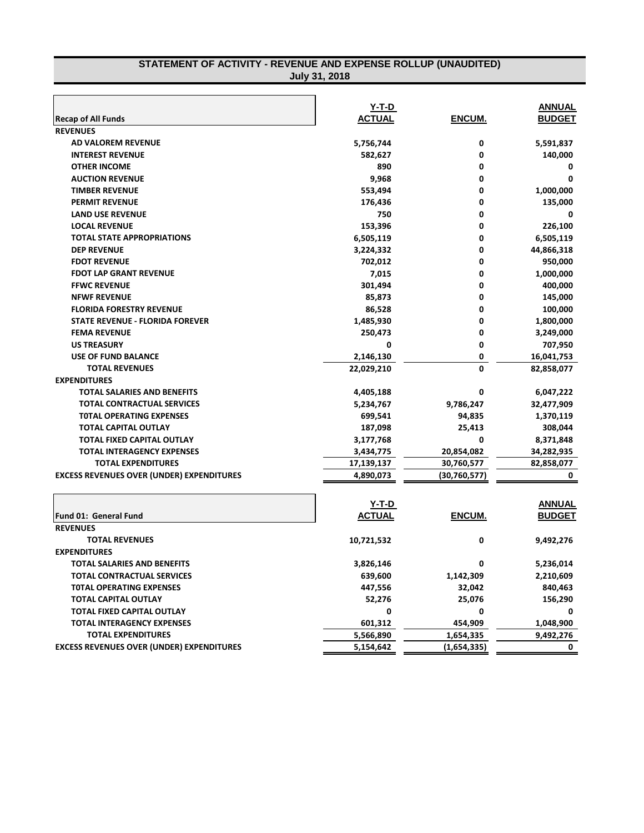| <b>July 31, 2018</b>                             |               |                |               |  |
|--------------------------------------------------|---------------|----------------|---------------|--|
|                                                  |               |                |               |  |
|                                                  | <u>Y-T-D</u>  |                | <b>ANNUAL</b> |  |
| <b>Recap of All Funds</b>                        | <b>ACTUAL</b> | ENCUM.         | <b>BUDGET</b> |  |
| <b>REVENUES</b>                                  |               |                |               |  |
| AD VALOREM REVENUE                               | 5,756,744     | 0              | 5,591,837     |  |
| <b>INTEREST REVENUE</b>                          | 582,627       | 0              | 140,000       |  |
| <b>OTHER INCOME</b>                              | 890           | 0              | 0             |  |
| <b>AUCTION REVENUE</b>                           | 9,968         | 0              | 0             |  |
| <b>TIMBER REVENUE</b>                            | 553,494       | 0              | 1,000,000     |  |
| <b>PERMIT REVENUE</b>                            | 176,436       | 0              | 135,000       |  |
| <b>LAND USE REVENUE</b>                          | 750           | 0              | 0             |  |
| <b>LOCAL REVENUE</b>                             | 153,396       | 0              | 226,100       |  |
| <b>TOTAL STATE APPROPRIATIONS</b>                | 6,505,119     | 0              | 6,505,119     |  |
| <b>DEP REVENUE</b>                               | 3,224,332     | 0              | 44,866,318    |  |
| <b>FDOT REVENUE</b>                              | 702,012       | 0              | 950,000       |  |
| <b>FDOT LAP GRANT REVENUE</b>                    | 7,015         | 0              | 1,000,000     |  |
| <b>FFWC REVENUE</b>                              | 301,494       | 0              | 400,000       |  |
| <b>NFWF REVENUE</b>                              | 85,873        | 0              | 145,000       |  |
| <b>FLORIDA FORESTRY REVENUE</b>                  | 86,528        | 0              | 100,000       |  |
| <b>STATE REVENUE - FLORIDA FOREVER</b>           | 1,485,930     | 0              | 1,800,000     |  |
| <b>FEMA REVENUE</b>                              | 250,473       | 0              | 3,249,000     |  |
| <b>US TREASURY</b>                               | 0             | 0              | 707,950       |  |
| <b>USE OF FUND BALANCE</b>                       | 2,146,130     | 0              | 16,041,753    |  |
| <b>TOTAL REVENUES</b>                            | 22,029,210    | O              | 82,858,077    |  |
| <b>EXPENDITURES</b>                              |               |                |               |  |
| TOTAL SALARIES AND BENEFITS                      | 4,405,188     | 0              | 6,047,222     |  |
| <b>TOTAL CONTRACTUAL SERVICES</b>                | 5,234,767     | 9,786,247      | 32,477,909    |  |
| <b>TOTAL OPERATING EXPENSES</b>                  | 699,541       | 94,835         | 1,370,119     |  |
| <b>TOTAL CAPITAL OUTLAY</b>                      | 187,098       | 25,413         | 308,044       |  |
| TOTAL FIXED CAPITAL OUTLAY                       | 3,177,768     | 0              | 8,371,848     |  |
| <b>TOTAL INTERAGENCY EXPENSES</b>                | 3,434,775     | 20,854,082     | 34,282,935    |  |
| <b>TOTAL EXPENDITURES</b>                        | 17,139,137    | 30,760,577     | 82,858,077    |  |
| <b>EXCESS REVENUES OVER (UNDER) EXPENDITURES</b> | 4,890,073     | (30, 760, 577) | 0             |  |
|                                                  |               |                |               |  |
|                                                  | Y-T-D         |                | <b>ANNUAL</b> |  |
| <b>Fund 01: General Fund</b>                     | <b>ACTUAL</b> | ENCUM.         | <b>BUDGET</b> |  |
| <b>REVENUES</b>                                  |               |                |               |  |
| <b>TOTAL REVENUES</b>                            | 10,721,532    | U              | 9,492,276     |  |
| <b>EXPENDITURES</b>                              |               |                |               |  |
| TOTAL SALARIES AND BENEFITS                      | 3,826,146     | 0              | 5,236,014     |  |
| <b>TOTAL CONTRACTUAL SERVICES</b>                | 639,600       | 1,142,309      | 2,210,609     |  |
| <b>TOTAL OPERATING EXPENSES</b>                  | 447,556       | 32,042         | 840,463       |  |
| <b>TOTAL CAPITAL OUTLAY</b>                      | 52,276        | 25,076         | 156,290       |  |
| TOTAL FIXED CAPITAL OUTLAY                       | 0             | 0              | 0             |  |
| <b>TOTAL INTERAGENCY EXPENSES</b>                | 601,312       | 454,909        | 1,048,900     |  |
| <b>TOTAL EXPENDITURES</b>                        | 5,566,890     | 1,654,335      | 9,492,276     |  |

**EXCESS REVENUES OVER (UNDER) EXPENDITURES 5,154,642 (1,654,335) 0**

# **STATEMENT OF ACTIVITY - REVENUE AND EXPENSE ROLLUP (UNAUDITED)**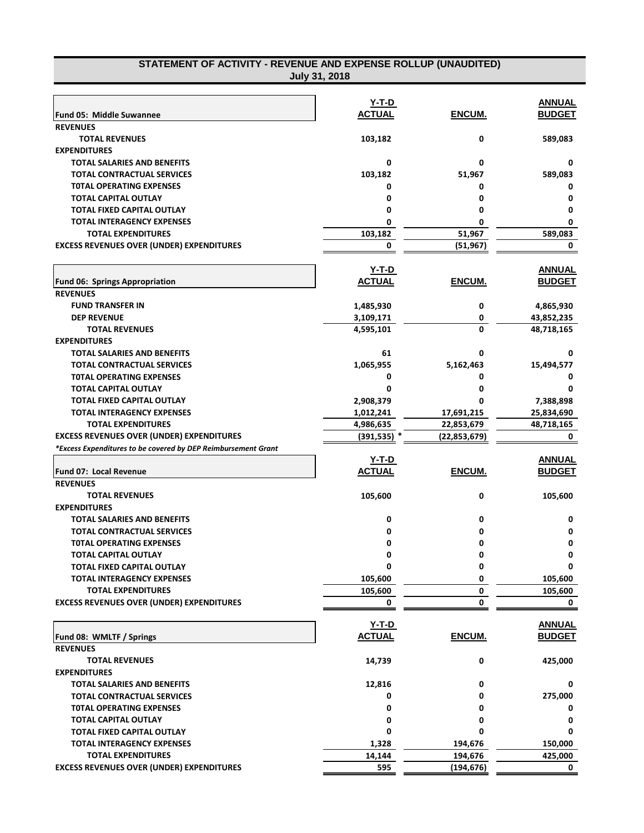| STATEMENT OF ACTIVITY - REVENUE AND EXPENSE ROLLUP (UNAUDITED) |
|----------------------------------------------------------------|
| July 31, 2018                                                  |

|                                                                 | Y-T-D          |                | <b>ANNUAL</b> |
|-----------------------------------------------------------------|----------------|----------------|---------------|
| Fund 05: Middle Suwannee                                        | <b>ACTUAL</b>  | ENCUM.         | <b>BUDGET</b> |
| <b>REVENUES</b>                                                 |                |                |               |
| <b>TOTAL REVENUES</b>                                           | 103,182        | 0              | 589,083       |
| <b>EXPENDITURES</b>                                             |                |                |               |
| <b>TOTAL SALARIES AND BENEFITS</b>                              | 0              | 0              | 0             |
| <b>TOTAL CONTRACTUAL SERVICES</b>                               | 103,182        | 51,967         | 589,083       |
| <b>TOTAL OPERATING EXPENSES</b>                                 | 0              | 0              | 0             |
| <b>TOTAL CAPITAL OUTLAY</b>                                     | 0              | 0              | 0             |
| TOTAL FIXED CAPITAL OUTLAY                                      | 0              | 0              | 0             |
| <b>TOTAL INTERAGENCY EXPENSES</b>                               | 0              | 0              | 0             |
| TOTAL EXPENDITURES                                              | 103,182        | 51,967         | 589,083       |
| <b>EXCESS REVENUES OVER (UNDER) EXPENDITURES</b>                | 0              | (51, 967)      | 0             |
|                                                                 |                |                |               |
|                                                                 | <u>Y-T-D</u>   |                | <b>ANNUAL</b> |
| <b>Fund 06: Springs Appropriation</b>                           | <b>ACTUAL</b>  | ENCUM.         | <b>BUDGET</b> |
| <b>REVENUES</b>                                                 |                |                |               |
| <b>FUND TRANSFER IN</b>                                         | 1,485,930      | 0              | 4,865,930     |
| <b>DEP REVENUE</b>                                              | 3,109,171      | 0              | 43,852,235    |
| <b>TOTAL REVENUES</b>                                           | 4,595,101      | 0              | 48,718,165    |
| <b>EXPENDITURES</b>                                             |                |                |               |
| <b>TOTAL SALARIES AND BENEFITS</b>                              | 61             | 0              | 0             |
| <b>TOTAL CONTRACTUAL SERVICES</b>                               | 1,065,955      | 5,162,463      | 15,494,577    |
| <b>TOTAL OPERATING EXPENSES</b>                                 | 0              | 0              | 0             |
| <b>TOTAL CAPITAL OUTLAY</b>                                     | 0              | 0              | 0             |
|                                                                 |                |                |               |
| TOTAL FIXED CAPITAL OUTLAY<br><b>TOTAL INTERAGENCY EXPENSES</b> | 2,908,379      |                | 7,388,898     |
|                                                                 | 1,012,241      | 17,691,215     | 25,834,690    |
| <b>TOTAL EXPENDITURES</b>                                       | 4,986,635      | 22,853,679     | 48,718,165    |
| <b>EXCESS REVENUES OVER (UNDER) EXPENDITURES</b>                | $(391, 535)$ * | (22, 853, 679) | 0             |
| *Excess Expenditures to be covered by DEP Reimbursement Grant   |                |                |               |
|                                                                 | <u>Y-T-D</u>   |                | <b>ANNUAL</b> |
| Fund 07: Local Revenue                                          | <b>ACTUAL</b>  | ENCUM.         | <b>BUDGET</b> |
| <b>REVENUES</b>                                                 |                |                |               |
| <b>TOTAL REVENUES</b>                                           | 105,600        | 0              | 105,600       |
| <b>EXPENDITURES</b>                                             |                |                |               |
| <b>TOTAL SALARIES AND BENEFITS</b>                              | 0              | 0              | 0             |
| <b>TOTAL CONTRACTUAL SERVICES</b>                               | 0              | 0              | 0             |
| <b>TOTAL OPERATING EXPENSES</b>                                 | 0              | 0              | 0             |
| <b>TOTAL CAPITAL OUTLAY</b>                                     | 0              | 0              | $\mathbf 0$   |
| TOTAL FIXED CAPITAL OUTLAY                                      | 0              | 0              | 0             |
| TOTAL INTERAGENCY EXPENSES                                      | 105,600        | 0              | 105,600       |
| <b>TOTAL EXPENDITURES</b>                                       | 105,600        | 0              | 105,600       |
| <b>EXCESS REVENUES OVER (UNDER) EXPENDITURES</b>                | 0              | 0              | 0             |
|                                                                 |                |                |               |
|                                                                 | Y-T-D          |                | <u>ANNUAL</u> |
| Fund 08: WMLTF / Springs                                        | <b>ACTUAL</b>  | ENCUM.         | <b>BUDGET</b> |
| <b>REVENUES</b>                                                 |                |                |               |
| <b>TOTAL REVENUES</b>                                           | 14,739         | 0              | 425,000       |
| <b>EXPENDITURES</b>                                             |                |                |               |
| <b>TOTAL SALARIES AND BENEFITS</b>                              | 12,816         | 0              | 0             |
| <b>TOTAL CONTRACTUAL SERVICES</b>                               | 0              | 0              | 275,000       |
| <b>TOTAL OPERATING EXPENSES</b>                                 | 0              | 0              | 0             |
| <b>TOTAL CAPITAL OUTLAY</b>                                     | 0              | 0              | 0             |
| TOTAL FIXED CAPITAL OUTLAY                                      | 0              | 0              | 0             |
| <b>TOTAL INTERAGENCY EXPENSES</b>                               | 1,328          | 194,676        | 150,000       |
| <b>TOTAL EXPENDITURES</b>                                       | 14,144         | 194,676        | 425,000       |
| <b>EXCESS REVENUES OVER (UNDER) EXPENDITURES</b>                | 595            | (194, 676)     | 0             |
|                                                                 |                |                |               |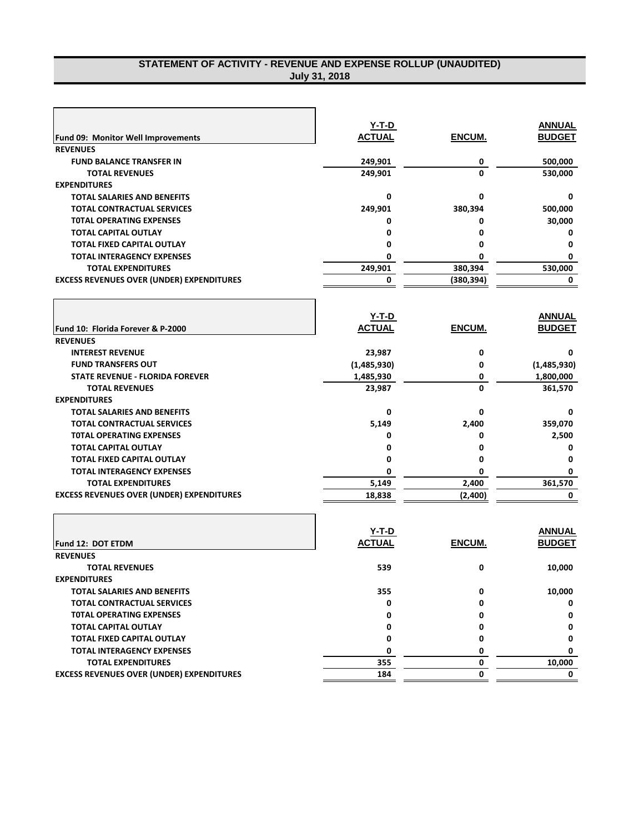### **STATEMENT OF ACTIVITY - REVENUE AND EXPENSE ROLLUP (UNAUDITED) July 31, 2018**

|                                                  | Y-T-D         |            | <b>ANNUAL</b> |
|--------------------------------------------------|---------------|------------|---------------|
| <b>Fund 09: Monitor Well Improvements</b>        | <b>ACTUAL</b> | ENCUM.     | <b>BUDGET</b> |
| <b>REVENUES</b>                                  |               |            |               |
| <b>FUND BALANCE TRANSFER IN</b>                  | 249,901       | 0          | 500,000       |
| <b>TOTAL REVENUES</b>                            | 249,901       | $\Omega$   | 530,000       |
| <b>EXPENDITURES</b>                              |               |            |               |
| <b>TOTAL SALARIES AND BENEFITS</b>               | 0             | 0          | 0             |
| <b>TOTAL CONTRACTUAL SERVICES</b>                | 249,901       | 380,394    | 500,000       |
| <b>TOTAL OPERATING EXPENSES</b>                  | 0             | 0          | 30,000        |
| <b>TOTAL CAPITAL OUTLAY</b>                      | 0             | 0          | 0             |
| <b>TOTAL FIXED CAPITAL OUTLAY</b>                | 0             | 0          | 0             |
| <b>TOTAL INTERAGENCY EXPENSES</b>                | 0             | 0          | 0             |
| <b>TOTAL EXPENDITURES</b>                        | 249,901       | 380,394    | 530,000       |
| <b>EXCESS REVENUES OVER (UNDER) EXPENDITURES</b> | 0             | (380, 394) | 0             |
|                                                  |               |            |               |
|                                                  |               |            |               |
|                                                  | <b>Y-T-D</b>  |            | <b>ANNUAL</b> |
| Fund 10: Florida Forever & P-2000                | <b>ACTUAL</b> | ENCUM.     | <b>BUDGET</b> |
| <b>REVENUES</b>                                  |               |            |               |
| <b>INTEREST REVENUE</b>                          | 23,987        | 0          | 0             |
| <b>FUND TRANSFERS OUT</b>                        | (1,485,930)   | 0          | (1,485,930)   |
| <b>STATE REVENUE - FLORIDA FOREVER</b>           | 1,485,930     | 0          | 1,800,000     |
| <b>TOTAL REVENUES</b>                            | 23,987        | 0          | 361,570       |
| <b>EXPENDITURES</b>                              |               |            |               |
| <b>TOTAL SALARIES AND BENEFITS</b>               | 0             | 0          | 0             |
| <b>TOTAL CONTRACTUAL SERVICES</b>                | 5,149         | 2,400      | 359,070       |
| <b>TOTAL OPERATING EXPENSES</b>                  | 0             | 0          | 2,500         |
| <b>TOTAL CAPITAL OUTLAY</b>                      | $\Omega$      | 0          | 0             |
| <b>TOTAL FIXED CAPITAL OUTLAY</b>                | 0             | 0          | 0             |
| <b>TOTAL INTERAGENCY EXPENSES</b>                | 0             | 0          | 0             |
| <b>TOTAL EXPENDITURES</b>                        | 5,149         | 2,400      | 361,570       |
| <b>EXCESS REVENUES OVER (UNDER) EXPENDITURES</b> | 18,838        | (2,400)    | 0             |
|                                                  |               |            |               |
|                                                  |               |            |               |
|                                                  | $Y-T-D$       |            | <b>ANNUAL</b> |
| Fund 12: DOT ETDM                                | <b>ACTUAL</b> | ENCUM.     | <b>BUDGET</b> |

| <b>Fund 12: DOT ETDM</b>                         | <b>ACTUAL</b> | ENCUM. | <b>BUDGET</b> |
|--------------------------------------------------|---------------|--------|---------------|
| <b>REVENUES</b>                                  |               |        |               |
| <b>TOTAL REVENUES</b>                            | 539           |        | 10,000        |
| <b>EXPENDITURES</b>                              |               |        |               |
| <b>TOTAL SALARIES AND BENEFITS</b>               | 355           |        | 10,000        |
| <b>TOTAL CONTRACTUAL SERVICES</b>                | 0             |        |               |
| <b>TOTAL OPERATING EXPENSES</b>                  |               |        |               |
| <b>TOTAL CAPITAL OUTLAY</b>                      |               |        |               |
| <b>TOTAL FIXED CAPITAL OUTLAY</b>                |               |        |               |
| <b>TOTAL INTERAGENCY EXPENSES</b>                |               |        |               |
| <b>TOTAL EXPENDITURES</b>                        | 355           |        | 10,000        |
| <b>EXCESS REVENUES OVER (UNDER) EXPENDITURES</b> | 184           |        |               |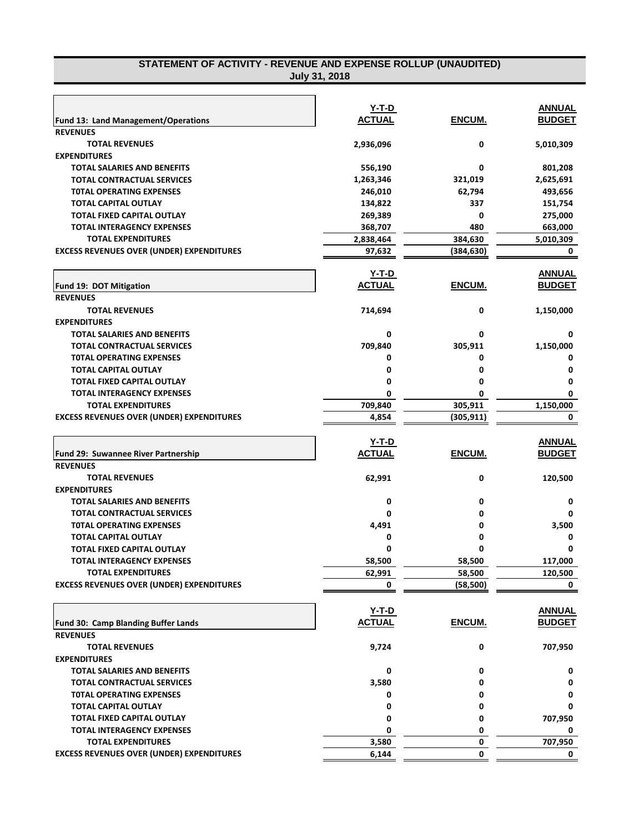### **STATEMENT OF ACTIVITY - REVENUE AND EXPENSE ROLLUP (UNAUDITED) July 31, 2018**

|                                                                               | $Y-T-D$        |            | <b>ANNUAL</b> |
|-------------------------------------------------------------------------------|----------------|------------|---------------|
| <b>Fund 13: Land Management/Operations</b>                                    | <b>ACTUAL</b>  | ENCUM.     | <b>BUDGET</b> |
| <b>REVENUES</b>                                                               |                |            |               |
| <b>TOTAL REVENUES</b>                                                         | 2,936,096      | 0          | 5,010,309     |
| <b>EXPENDITURES</b>                                                           |                |            |               |
| <b>TOTAL SALARIES AND BENEFITS</b>                                            | 556,190        | 0          | 801,208       |
| <b>TOTAL CONTRACTUAL SERVICES</b>                                             | 1,263,346      | 321,019    | 2,625,691     |
| <b>TOTAL OPERATING EXPENSES</b>                                               | 246,010        | 62,794     | 493,656       |
| <b>TOTAL CAPITAL OUTLAY</b>                                                   | 134,822        | 337        | 151,754       |
| <b>TOTAL FIXED CAPITAL OUTLAY</b>                                             | 269,389        | 0          | 275,000       |
| <b>TOTAL INTERAGENCY EXPENSES</b>                                             | 368,707        | 480        | 663,000       |
| <b>TOTAL EXPENDITURES</b>                                                     | 2,838,464      | 384,630    | 5,010,309     |
| <b>EXCESS REVENUES OVER (UNDER) EXPENDITURES</b>                              | 97,632         | (384, 630) | 0             |
|                                                                               | Y-T-D          |            | <b>ANNUAL</b> |
| Fund 19: DOT Mitigation                                                       | <b>ACTUAL</b>  | ENCUM.     | <b>BUDGET</b> |
| <b>REVENUES</b>                                                               |                |            |               |
| <b>TOTAL REVENUES</b>                                                         | 714,694        | 0          | 1,150,000     |
| <b>EXPENDITURES</b>                                                           |                |            |               |
| <b>TOTAL SALARIES AND BENEFITS</b>                                            | 0              | 0          | 0             |
| <b>TOTAL CONTRACTUAL SERVICES</b>                                             | 709,840        | 305,911    | 1,150,000     |
| <b>TOTAL OPERATING EXPENSES</b>                                               | 0              | 0          | 0             |
| <b>TOTAL CAPITAL OUTLAY</b>                                                   | 0              | 0          | 0             |
| <b>TOTAL FIXED CAPITAL OUTLAY</b>                                             | 0              | 0          | 0             |
| <b>TOTAL INTERAGENCY EXPENSES</b>                                             | 0              | 0          | 0             |
| <b>TOTAL EXPENDITURES</b>                                                     | 709,840        | 305,911    | 1,150,000     |
| <b>EXCESS REVENUES OVER (UNDER) EXPENDITURES</b>                              | 4,854          | (305, 911) | 0             |
|                                                                               |                |            |               |
|                                                                               | Y-T-D          |            | <b>ANNUAL</b> |
| Fund 29: Suwannee River Partnership                                           | <b>ACTUAL</b>  | ENCUM.     | <b>BUDGET</b> |
| <b>REVENUES</b>                                                               |                |            |               |
| <b>TOTAL REVENUES</b>                                                         | 62,991         | 0          | 120,500       |
| <b>EXPENDITURES</b>                                                           |                |            |               |
|                                                                               |                |            |               |
| <b>TOTAL SALARIES AND BENEFITS</b>                                            | 0              | 0          | 0             |
| <b>TOTAL CONTRACTUAL SERVICES</b>                                             | 0              | 0          | 0             |
| <b>TOTAL OPERATING EXPENSES</b>                                               | 4,491          | 0          | 3,500         |
| <b>TOTAL CAPITAL OUTLAY</b>                                                   | 0              | 0          | 0             |
| <b>TOTAL FIXED CAPITAL OUTLAY</b>                                             | Ω              | 0          | Ω             |
| <b>TOTAL INTERAGENCY EXPENSES</b>                                             | 58,500         | 58,500     | 117,000       |
| <b>TOTAL EXPENDITURES</b>                                                     | 62,991         | 58,500     | 120,500       |
| <b>EXCESS REVENUES OVER (UNDER) EXPENDITURES</b>                              | 0              | (58, 500)  | 0             |
|                                                                               |                |            |               |
|                                                                               | Y-T-D          |            | <b>ANNUAL</b> |
| Fund 30: Camp Blanding Buffer Lands                                           | <b>ACTUAL</b>  | ENCUM.     | <b>BUDGET</b> |
| <b>REVENUES</b>                                                               |                |            |               |
| <b>TOTAL REVENUES</b>                                                         | 9,724          | 0          | 707,950       |
| <b>EXPENDITURES</b>                                                           |                |            |               |
| <b>TOTAL SALARIES AND BENEFITS</b>                                            | 0              | 0          | 0             |
| <b>TOTAL CONTRACTUAL SERVICES</b>                                             | 3,580          | 0          | 0             |
| <b>TOTAL OPERATING EXPENSES</b>                                               | 0              | 0          | 0             |
| <b>TOTAL CAPITAL OUTLAY</b>                                                   | 0              | 0          | 0             |
| TOTAL FIXED CAPITAL OUTLAY                                                    | 0              | 0          | 707,950       |
| <b>TOTAL INTERAGENCY EXPENSES</b>                                             | 0              | 0          | 0             |
| <b>TOTAL EXPENDITURES</b><br><b>EXCESS REVENUES OVER (UNDER) EXPENDITURES</b> | 3,580<br>6,144 | 0<br>0     | 707,950<br>0  |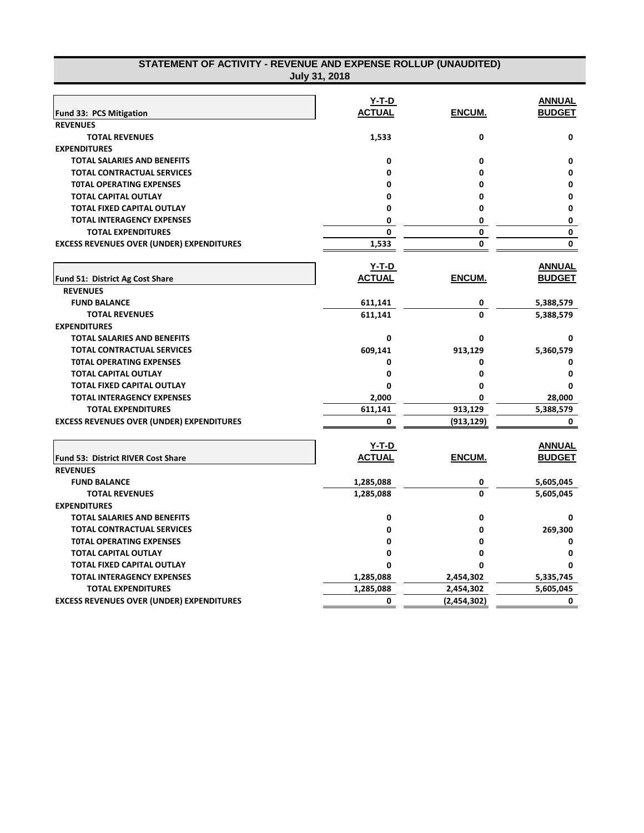| STATEMENT OF ACTIVITY - REVENUE AND EXPENSE ROLLUP (UNAUDITED) | July 31, 2018 |               |               |
|----------------------------------------------------------------|---------------|---------------|---------------|
|                                                                |               |               |               |
|                                                                | Y-T-D         |               | <b>ANNUAL</b> |
| Fund 33: PCS Mitigation                                        | <b>ACTUAL</b> | ENCUM.        | <b>BUDGET</b> |
| <b>REVENUES</b>                                                |               |               |               |
| <b>TOTAL REVENUES</b><br><b>EXPENDITURES</b>                   | 1,533         | 0             | 0             |
|                                                                |               |               |               |
| <b>TOTAL SALARIES AND BENEFITS</b>                             | 0             | 0             | 0             |
| <b>TOTAL CONTRACTUAL SERVICES</b>                              | 0             | 0             | $\mathbf{0}$  |
| <b>TOTAL OPERATING EXPENSES</b>                                | 0             | 0             | 0             |
| <b>TOTAL CAPITAL OUTLAY</b>                                    | 0             | 0             | 0             |
| <b>TOTAL FIXED CAPITAL OUTLAY</b>                              | 0             | 0             | $\mathbf{0}$  |
| <b>TOTAL INTERAGENCY EXPENSES</b>                              | 0             | 0             | 0             |
| <b>TOTAL EXPENDITURES</b>                                      | 0             | 0             | 0             |
| <b>EXCESS REVENUES OVER (UNDER) EXPENDITURES</b>               | 1,533         | 0             | 0             |
|                                                                | Y-T-D         |               | <b>ANNUAL</b> |
| Fund 51: District Ag Cost Share                                | <b>ACTUAL</b> | <u>ENCUM.</u> | <b>BUDGET</b> |
| <b>REVENUES</b>                                                |               |               |               |
| <b>FUND BALANCE</b>                                            | 611,141       | 0             | 5,388,579     |
| <b>TOTAL REVENUES</b>                                          | 611,141       | 0             | 5,388,579     |
| <b>EXPENDITURES</b>                                            |               |               |               |
| <b>TOTAL SALARIES AND BENEFITS</b>                             | 0             | 0             | 0             |
| <b>TOTAL CONTRACTUAL SERVICES</b>                              | 609,141       | 913,129       | 5,360,579     |
| <b>TOTAL OPERATING EXPENSES</b>                                | 0             | 0             | 0             |
| <b>TOTAL CAPITAL OUTLAY</b>                                    | 0             | 0             | 0             |
| <b>TOTAL FIXED CAPITAL OUTLAY</b>                              | 0             | 0             | 0             |
| <b>TOTAL INTERAGENCY EXPENSES</b>                              | 2,000         | 0             | 28,000        |
| <b>TOTAL EXPENDITURES</b>                                      | 611,141       | 913,129       | 5,388,579     |
| <b>EXCESS REVENUES OVER (UNDER) EXPENDITURES</b>               | 0             | (913,129)     | 0             |
|                                                                |               |               |               |
|                                                                | Y-T-D         |               | <b>ANNUAL</b> |
| Fund 53: District RIVER Cost Share                             | <b>ACTUAL</b> | ENCUM.        | <b>BUDGET</b> |
| <b>REVENUES</b>                                                |               |               |               |
| <b>FUND BALANCE</b>                                            | 1,285,088     | 0             | 5,605,045     |
| <b>TOTAL REVENUES</b>                                          | 1,285,088     | 0             | 5,605,045     |
| <b>EXPENDITURES</b>                                            |               |               |               |
| <b>TOTAL SALARIES AND BENEFITS</b>                             | 0             | 0             | 0             |
| <b>TOTAL CONTRACTUAL SERVICES</b>                              | 0             | 0             | 269,300       |
| <b>TOTAL OPERATING EXPENSES</b>                                | 0             | 0             | 0             |
| <b>TOTAL CAPITAL OUTLAY</b>                                    | 0             | 0             | 0             |
| <b>TOTAL FIXED CAPITAL OUTLAY</b>                              | 0             | ŋ             | ŋ             |
| <b>TOTAL INTERAGENCY EXPENSES</b>                              | 1,285,088     | 2,454,302     | 5,335,745     |
| <b>TOTAL EXPENDITURES</b>                                      | 1,285,088     | 2,454,302     | 5,605,045     |
| <b>EXCESS REVENUES OVER (UNDER) EXPENDITURES</b>               | 0             | (2,454,302)   | 0             |
|                                                                |               |               |               |